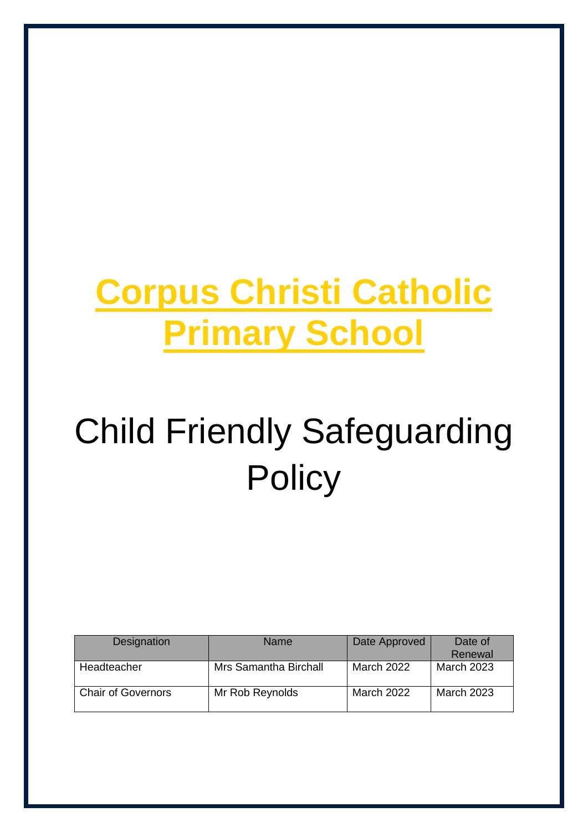## **Corpus Christi Catholic Primary School**

# Child Friendly Safeguarding **Policy**

| Designation               | <b>Name</b>           | Date Approved | Date of<br>Renewal |
|---------------------------|-----------------------|---------------|--------------------|
| Headteacher               | Mrs Samantha Birchall | March 2022    | <b>March 2023</b>  |
| <b>Chair of Governors</b> | Mr Rob Reynolds       | March 2022    | <b>March 2023</b>  |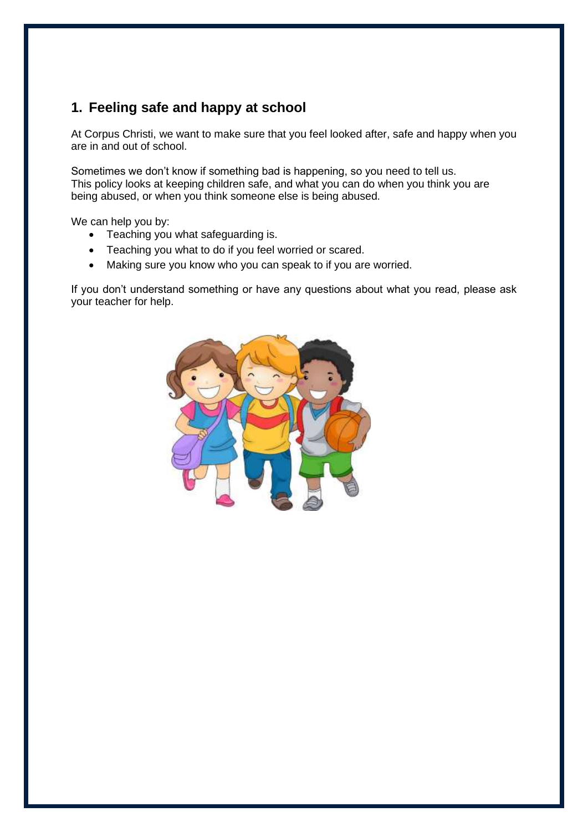#### **1. Feeling safe and happy at school**

At Corpus Christi, we want to make sure that you feel looked after, safe and happy when you are in and out of school.

Sometimes we don't know if something bad is happening, so you need to tell us. This policy looks at keeping children safe, and what you can do when you think you are being abused, or when you think someone else is being abused.

We can help you by:

- Teaching you what safeguarding is.
- Teaching you what to do if you feel worried or scared.
- Making sure you know who you can speak to if you are worried.

If you don't understand something or have any questions about what you read, please ask your teacher for help.

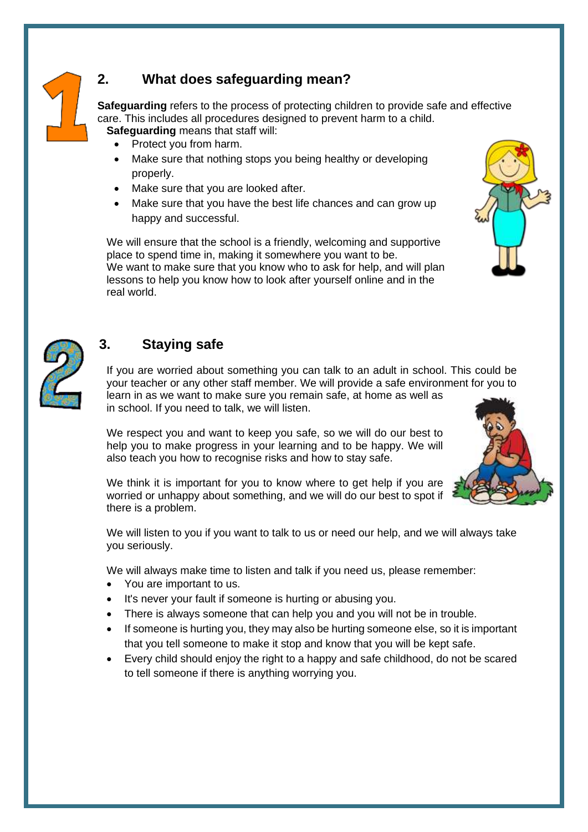

### **2. What does safeguarding mean?**

**Safeguarding** refers to the process of protecting children to provide safe and effective care. This includes all procedures designed to prevent harm to a child. **Safeguarding** means that staff will:

- Protect you from harm.
- Make sure that nothing stops you being healthy or developing properly.
- Make sure that you are looked after.
- Make sure that you have the best life chances and can grow up happy and successful.

We will ensure that the school is a friendly, welcoming and supportive place to spend time in, making it somewhere you want to be. We want to make sure that you know who to ask for help, and will plan lessons to help you know how to look after yourself online and in the real world.





#### **3. Staying safe**

If you are worried about something you can talk to an adult in school. This could be your teacher or any other staff member. We will provide a safe environment for you to learn in as we want to make sure you remain safe, at home as well as in school. If you need to talk, we will listen.

We respect you and want to keep you safe, so we will do our best to help you to make progress in your learning and to be happy. We will also teach you how to recognise risks and how to stay safe.



We think it is important for you to know where to get help if you are worried or unhappy about something, and we will do our best to spot if there is a problem.

We will listen to you if you want to talk to us or need our help, and we will always take you seriously.

We will always make time to listen and talk if you need us, please remember:

- You are important to us.
- It's never your fault if someone is hurting or abusing you.
- There is always someone that can help you and you will not be in trouble.
- If someone is hurting you, they may also be hurting someone else, so it is important that you tell someone to make it stop and know that you will be kept safe.
- Every child should enjoy the right to a happy and safe childhood, do not be scared to tell someone if there is anything worrying you.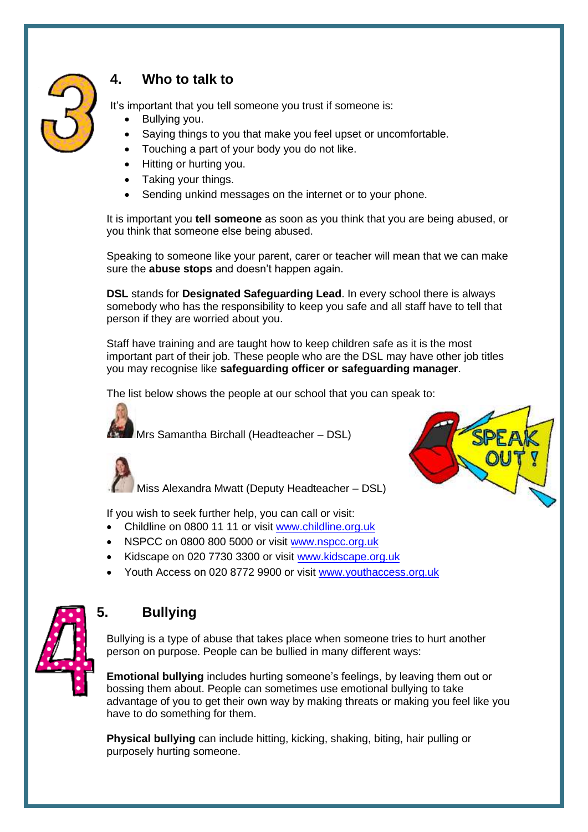

#### **4. Who to talk to**

It's important that you tell someone you trust if someone is:

- Bullying you.
- Saying things to you that make you feel upset or uncomfortable.
- Touching a part of your body you do not like.
- Hitting or hurting you.
- Taking your things.
- Sending unkind messages on the internet or to your phone.

It is important you **tell someone** as soon as you think that you are being abused, or you think that someone else being abused.

Speaking to someone like your parent, carer or teacher will mean that we can make sure the **abuse stops** and doesn't happen again.

**DSL** stands for **Designated Safeguarding Lead**. In every school there is always somebody who has the responsibility to keep you safe and all staff have to tell that person if they are worried about you.

Staff have training and are taught how to keep children safe as it is the most important part of their job. These people who are the DSL may have other job titles you may recognise like **safeguarding officer or safeguarding manager**.

The list below shows the people at our school that you can speak to:

Mrs Samantha Birchall (Headteacher – DSL)



Miss Alexandra Mwatt (Deputy Headteacher – DSL)

If you wish to seek further help, you can call or visit:

- Childline on 0800 11 11 or visit [www.childline.org.uk](http://www.childline.org.uk/)
- NSPCC on 0800 800 5000 or visit [www.nspcc.org.uk](http://www.nspcc.org.uk/)
- Kidscape on 020 7730 3300 or visit [www.kidscape.org.uk](http://www.kidscape.org.uk/)
- Youth Access on 020 8772 9900 or visit [www.youthaccess.org.uk](http://www.youthaccess.org.uk/)



#### **5. Bullying**

Bullying is a type of abuse that takes place when someone tries to hurt another person on purpose. People can be bullied in many different ways:

**Emotional bullying** includes hurting someone's feelings, by leaving them out or bossing them about. People can sometimes use emotional bullying to take advantage of you to get their own way by making threats or making you feel like you have to do something for them.

**Physical bullying** can include hitting, kicking, shaking, biting, hair pulling or purposely hurting someone.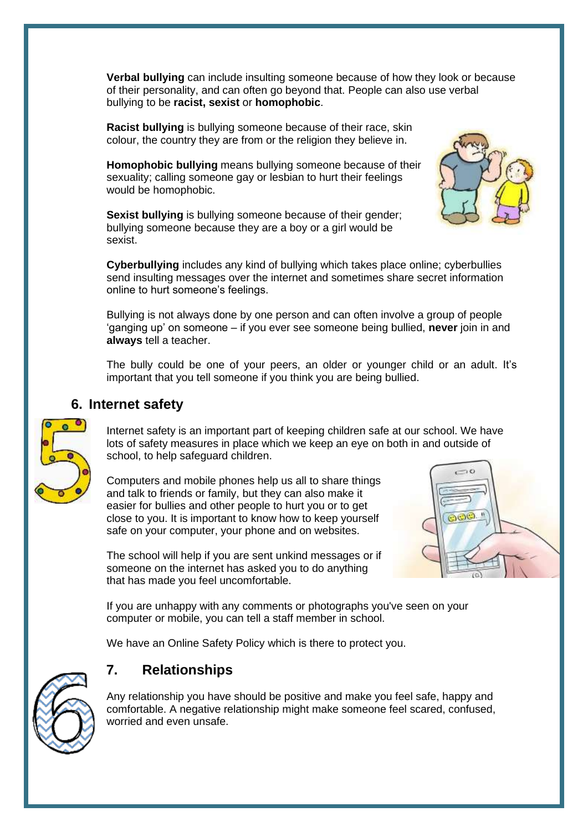**Verbal bullying** can include insulting someone because of how they look or because of their personality, and can often go beyond that. People can also use verbal bullying to be **racist, sexist** or **homophobic**.

**Racist bullying** is bullying someone because of their race, skin colour, the country they are from or the religion they believe in.

**Homophobic bullying** means bullying someone because of their sexuality; calling someone gay or lesbian to hurt their feelings would be homophobic.

**Sexist bullying** is bullying someone because of their gender; bullying someone because they are a boy or a girl would be sexist.



**Cyberbullying** includes any kind of bullying which takes place online; cyberbullies send insulting messages over the internet and sometimes share secret information online to hurt someone's feelings.

Bullying is not always done by one person and can often involve a group of people 'ganging up' on someone – if you ever see someone being bullied, **never** join in and **always** tell a teacher.

The bully could be one of your peers, an older or younger child or an adult. It's important that you tell someone if you think you are being bullied.

#### **6. Internet safety**

Internet safety is an important part of keeping children safe at our school. We have lots of safety measures in place which we keep an eye on both in and outside of school, to help safeguard children.

Computers and mobile phones help us all to share things and talk to friends or family, but they can also make it easier for bullies and other people to hurt you or to get close to you. It is important to know how to keep yourself safe on your computer, your phone and on websites.



The school will help if you are sent unkind messages or if someone on the internet has asked you to do anything that has made you feel uncomfortable.

If you are unhappy with any comments or photographs you've seen on your computer or mobile, you can tell a staff member in school.

We have an Online Safety Policy which is there to protect you.



#### **7. Relationships**

Any relationship you have should be positive and make you feel safe, happy and comfortable. A negative relationship might make someone feel scared, confused, worried and even unsafe.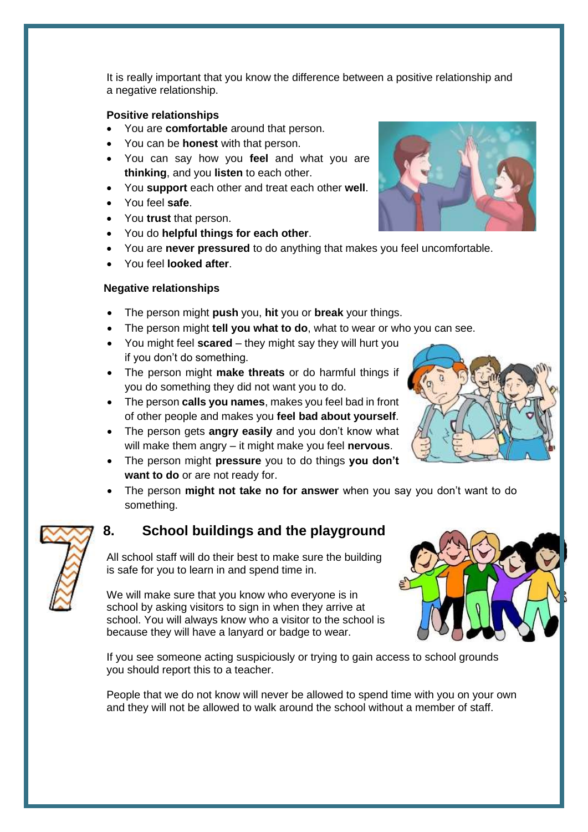It is really important that you know the difference between a positive relationship and a negative relationship.

#### **Positive relationships**

- You are **comfortable** around that person.
- You can be **honest** with that person.
- You can say how you **feel** and what you are **thinking**, and you **listen** to each other.
- You **support** each other and treat each other **well**.
- You feel **safe**.
- You **trust** that person.
- You do **helpful things for each other**.
- You are **never pressured** to do anything that makes you feel uncomfortable.
- You feel **looked after**.

#### **Negative relationships**

- The person might **push** you, **hit** you or **break** your things.
- The person might **tell you what to do**, what to wear or who you can see.
- You might feel **scared** they might say they will hurt you if you don't do something.
- The person might **make threats** or do harmful things if you do something they did not want you to do.
- The person **calls you names**, makes you feel bad in front of other people and makes you **feel bad about yourself**.
- The person gets **angry easily** and you don't know what will make them angry – it might make you feel **nervous**.
- The person might **pressure** you to do things **you don't want to do** or are not ready for.
- The person **might not take no for answer** when you say you don't want to do something.

#### **8. School buildings and the playground**

All school staff will do their best to make sure the building is safe for you to learn in and spend time in.

We will make sure that you know who everyone is in school by asking visitors to sign in when they arrive at school. You will always know who a visitor to the school is because they will have a lanyard or badge to wear.



If you see someone acting suspiciously or trying to gain access to school grounds you should report this to a teacher.

People that we do not know will never be allowed to spend time with you on your own and they will not be allowed to walk around the school without a member of staff.